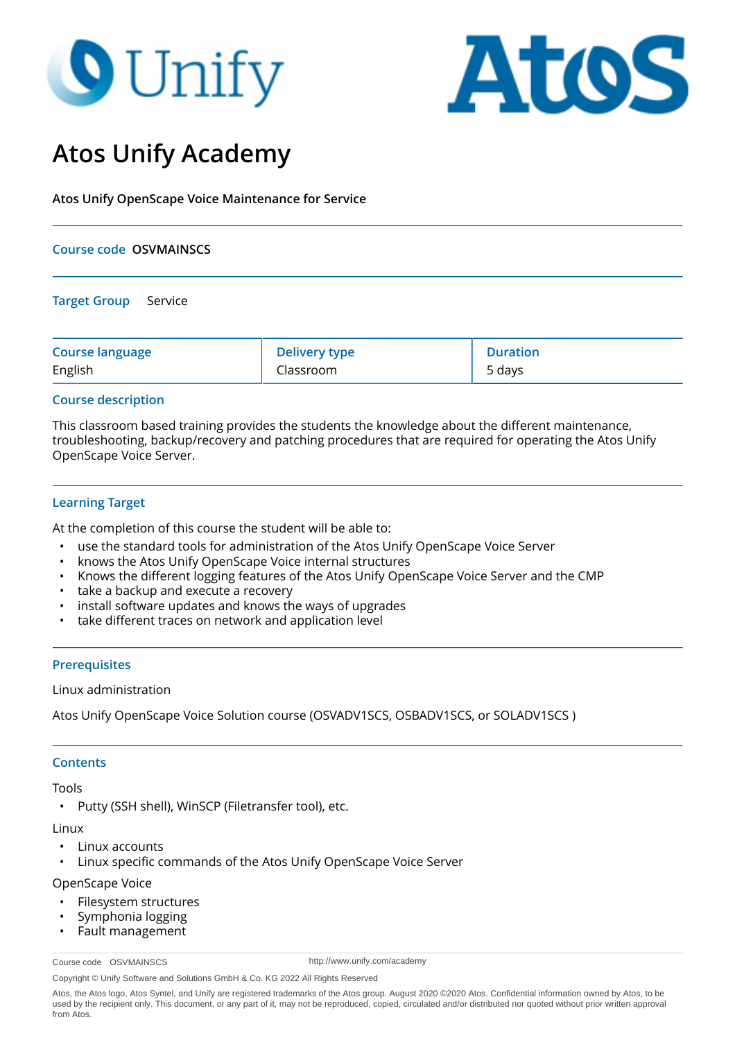# **O** Unify



# **Atos Unify Academy**

**Atos Unify OpenScape Voice Maintenance for Service**

#### **Course code OSVMAINSCS**

#### **Target Group** Service

| <b>Course language</b> | <b>Delivery type</b> | <b>Duration</b> |
|------------------------|----------------------|-----------------|
| English                | Classroom            | 5 days          |

# **Course description**

This classroom based training provides the students the knowledge about the different maintenance, troubleshooting, backup/recovery and patching procedures that are required for operating the Atos Unify OpenScape Voice Server.

# **Learning Target**

At the completion of this course the student will be able to:

- use the standard tools for administration of the Atos Unify OpenScape Voice Server
- knows the Atos Unify OpenScape Voice internal structures
- Knows the different logging features of the Atos Unify OpenScape Voice Server and the CMP
- take a backup and execute a recovery
- install software updates and knows the ways of upgrades
- take different traces on network and application level

# **Prerequisites**

Linux administration

Atos Unify OpenScape Voice Solution course (OSVADV1SCS, OSBADV1SCS, or SOLADV1SCS )

#### **Contents**

Tools

• Putty (SSH shell), WinSCP (Filetransfer tool), etc.

#### **Linux**

- Linux accounts
- Linux specific commands of the Atos Unify OpenScape Voice Server

#### OpenScape Voice

- Filesystem structures
- Symphonia logging
- Fault management

http://www.unify.com/academy

Copyright © Unify Software and Solutions GmbH & Co. KG 2022 All Rights Reserved

Course code OSVMAINSCS

Atos, the Atos logo, Atos Syntel, and Unify are registered trademarks of the Atos group. August 2020 ©2020 Atos. Confidential information owned by Atos, to be used by the recipient only. This document, or any part of it, may not be reproduced, copied, circulated and/or distributed nor quoted without prior written approval from Atos.